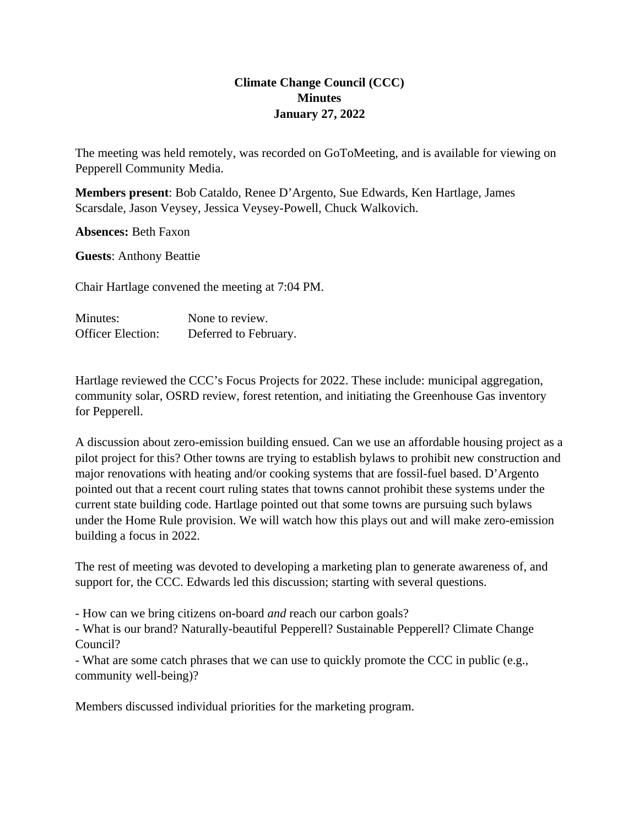## **Climate Change Council (CCC) Minutes January 27, 2022**

The meeting was held remotely, was recorded on GoToMeeting, and is available for viewing on Pepperell Community Media.

**Members present**: Bob Cataldo, Renee D'Argento, Sue Edwards, Ken Hartlage, James Scarsdale, Jason Veysey, Jessica Veysey-Powell, Chuck Walkovich.

**Absences:** Beth Faxon

**Guests**: Anthony Beattie

Chair Hartlage convened the meeting at 7:04 PM.

| Minutes:                 | None to review.       |
|--------------------------|-----------------------|
| <b>Officer Election:</b> | Deferred to February. |

Hartlage reviewed the CCC's Focus Projects for 2022. These include: municipal aggregation, community solar, OSRD review, forest retention, and initiating the Greenhouse Gas inventory for Pepperell.

A discussion about zero-emission building ensued. Can we use an affordable housing project as a pilot project for this? Other towns are trying to establish bylaws to prohibit new construction and major renovations with heating and/or cooking systems that are fossil-fuel based. D'Argento pointed out that a recent court ruling states that towns cannot prohibit these systems under the current state building code. Hartlage pointed out that some towns are pursuing such bylaws under the Home Rule provision. We will watch how this plays out and will make zero-emission building a focus in 2022.

The rest of meeting was devoted to developing a marketing plan to generate awareness of, and support for, the CCC. Edwards led this discussion; starting with several questions.

- How can we bring citizens on-board *and* reach our carbon goals?

- What is our brand? Naturally-beautiful Pepperell? Sustainable Pepperell? Climate Change Council?

- What are some catch phrases that we can use to quickly promote the CCC in public (e.g., community well-being)?

Members discussed individual priorities for the marketing program.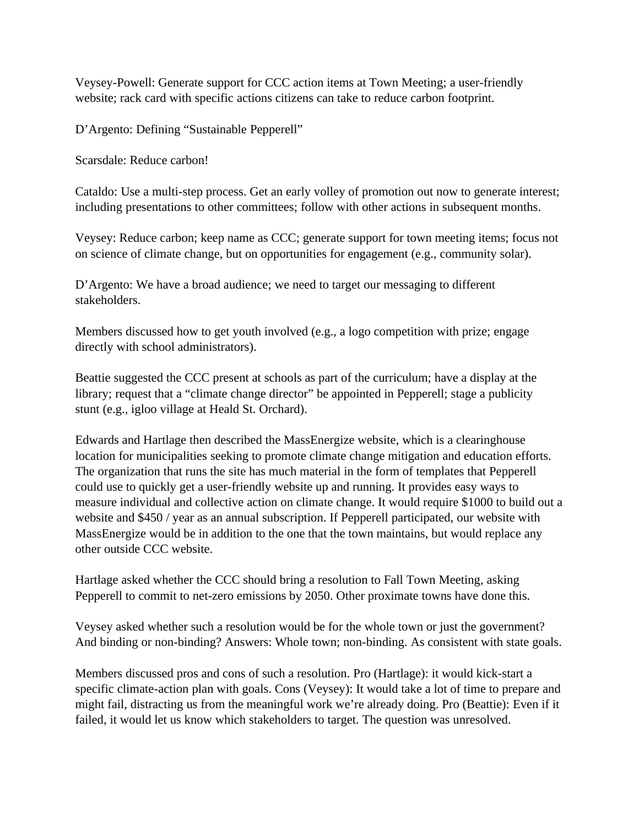Veysey-Powell: Generate support for CCC action items at Town Meeting; a user-friendly website; rack card with specific actions citizens can take to reduce carbon footprint.

D'Argento: Defining "Sustainable Pepperell"

Scarsdale: Reduce carbon!

Cataldo: Use a multi-step process. Get an early volley of promotion out now to generate interest; including presentations to other committees; follow with other actions in subsequent months.

Veysey: Reduce carbon; keep name as CCC; generate support for town meeting items; focus not on science of climate change, but on opportunities for engagement (e.g., community solar).

D'Argento: We have a broad audience; we need to target our messaging to different stakeholders.

Members discussed how to get youth involved (e.g., a logo competition with prize; engage directly with school administrators).

Beattie suggested the CCC present at schools as part of the curriculum; have a display at the library; request that a "climate change director" be appointed in Pepperell; stage a publicity stunt (e.g., igloo village at Heald St. Orchard).

Edwards and Hartlage then described the MassEnergize website, which is a clearinghouse location for municipalities seeking to promote climate change mitigation and education efforts. The organization that runs the site has much material in the form of templates that Pepperell could use to quickly get a user-friendly website up and running. It provides easy ways to measure individual and collective action on climate change. It would require \$1000 to build out a website and \$450 / year as an annual subscription. If Pepperell participated, our website with MassEnergize would be in addition to the one that the town maintains, but would replace any other outside CCC website.

Hartlage asked whether the CCC should bring a resolution to Fall Town Meeting, asking Pepperell to commit to net-zero emissions by 2050. Other proximate towns have done this.

Veysey asked whether such a resolution would be for the whole town or just the government? And binding or non-binding? Answers: Whole town; non-binding. As consistent with state goals.

Members discussed pros and cons of such a resolution. Pro (Hartlage): it would kick-start a specific climate-action plan with goals. Cons (Veysey): It would take a lot of time to prepare and might fail, distracting us from the meaningful work we're already doing. Pro (Beattie): Even if it failed, it would let us know which stakeholders to target. The question was unresolved.